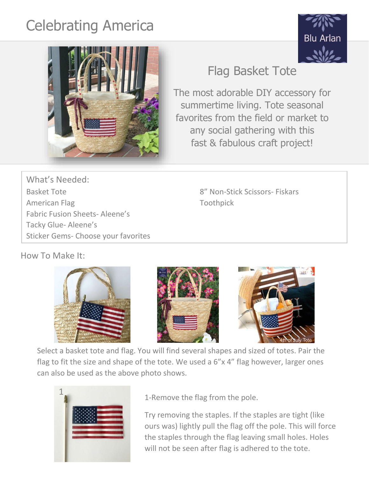## Celebrating America





## Flag Basket Tote

The most adorable DIY accessory for summertime living. Tote seasonal favorites from the field or market to any social gathering with this fast & fabulous craft project!

What's Needed: Basket Tote **8'' Non-Stick Scissors- Fiskars** American Flag Toothpick Fabric Fusion Sheets- Aleene's Tacky Glue- Aleene's Sticker Gems- Choose your favorites

How To Make It:







Select a basket tote and flag. You will find several shapes and sized of totes. Pair the flag to fit the size and shape of the tote. We used a 6"x 4" flag however, larger ones can also be used as the above photo shows.



1-Remove the flag from the pole.

Try removing the staples. If the staples are tight (like ours was) lightly pull the flag off the pole. This will force the staples through the flag leaving small holes. Holes will not be seen after flag is adhered to the tote.